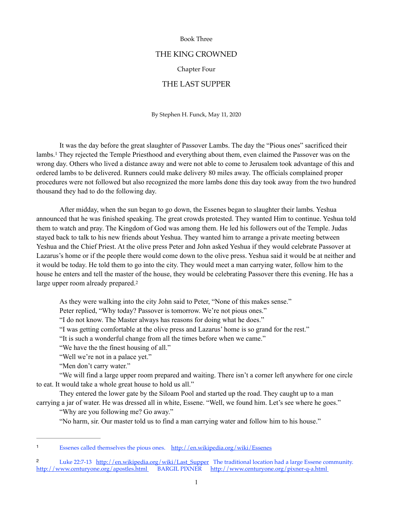#### Book Three

## THE KING CROWNED

#### Chapter Four

# THE LAST SUPPER

By Stephen H. Funck, May 11, 2020

<span id="page-0-2"></span> It was the day before the great slaughter of Passover Lambs. The day the "Pious ones" sacrificed their lambs.<sup>[1](#page-0-0)</sup> They rejected the Temple Priesthood and everything about them, even claimed the Passover was on the wrong day. Others who lived a distance away and were not able to come to Jerusalem took advantage of this and ordered lambs to be delivered. Runners could make delivery 80 miles away. The officials complained proper procedures were not followed but also recognized the more lambs done this day took away from the two hundred thousand they had to do the following day.

 After midday, when the sun began to go down, the Essenes began to slaughter their lambs. Yeshua announced that he was finished speaking. The great crowds protested. They wanted Him to continue. Yeshua told them to watch and pray. The Kingdom of God was among them. He led his followers out of the Temple. Judas stayed back to talk to his new friends about Yeshua. They wanted him to arrange a private meeting between Yeshua and the Chief Priest. At the olive press Peter and John asked Yeshua if they would celebrate Passover at Lazarus's home or if the people there would come down to the olive press. Yeshua said it would be at neither and it would be today. He told them to go into the city. They would meet a man carrying water, follow him to the house he enters and tell the master of the house, they would be celebrating Passover there this evening. He has a large upper room already prepared[.](#page-0-1)<sup>[2](#page-0-1)</sup>

<span id="page-0-3"></span>As they were walking into the city John said to Peter, "None of this makes sense."

Peter replied, "Why today? Passover is tomorrow. We're not pious ones."

"I do not know. The Master always has reasons for doing what he does."

"I was getting comfortable at the olive press and Lazarus' home is so grand for the rest."

"It is such a wonderful change from all the times before when we came."

"We have the the finest housing of all."

"Well we're not in a palace yet."

"Men don't carry water."

 "We will find a large upper room prepared and waiting. There isn't a corner left anywhere for one circle to eat. It would take a whole great house to hold us all."

 They entered the lower gate by the Siloam Pool and started up the road. They caught up to a man carrying a jar of water. He was dressed all in white, Essene. "Well, we found him. Let's see where he goes."

"Why are you following me? Go away."

"No harm, sir. Our master told us to find a man carrying water and follow him to his house."

<span id="page-0-0"></span>Essenes called themselves the pious ones. <http://en.wikipedia.org/wiki/Essenes> [1](#page-0-2)

<span id="page-0-1"></span><sup>2</sup> Luke 22:7-13 [http://en.wikipedia.org/wiki/Last\\_Supper](http://en.wikipedia.org/wiki/Last_Supper) The traditional location had a large [Essene](http://en.wikipedia.org/wiki/Essenes) community. <http://www.centuryone.org/apostles.html>BARGIL PIXNER <http://www.centuryone.org/pixner-q-a.html>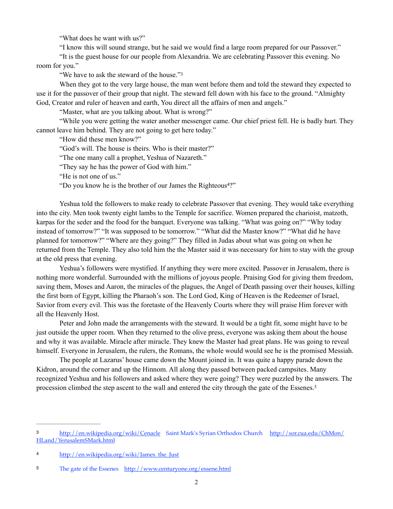"What does he want with us?"

"I know this will sound strange, but he said we would find a large room prepared for our Passover."

 "It is the guest house for our people from Alexandria. We are celebrating Passover this evening. No room for you."

<span id="page-1-3"></span>"We have to ask the steward of the house."<sup>[3](#page-1-0)</sup>

 When they got to the very large house, the man went before them and told the steward they expected to use it for the passover of their group that night. The steward fell down with his face to the ground. "Almighty God, Creator and ruler of heaven and earth, You direct all the affairs of men and angels."

"Master, what are you talking about. What is wrong?"

 "While you were getting the water another messenger came. Our chief priest fell. He is badly hurt. They cannot leave him behind. They are not going to get here today."

"How did these men know?"

"God's will. The house is theirs. Who is their master?"

"The one many call a prophet, Yeshua of Nazareth."

"They say he has the power of God with him."

"He is not one of us."

<span id="page-1-4"></span>"Do you know he is the brother of our James the Righteous $4$ [?](#page-1-1)"

 Yeshua told the followers to make ready to celebrate Passover that evening. They would take everything into the city. Men took twenty eight lambs to the Temple for sacrifice. Women prepared the charioist, matzoth, karpas for the seder and the food for the banquet. Everyone was talking. "What was going on?" "Why today instead of tomorrow?" "It was supposed to be tomorrow." "What did the Master know?" "What did he have planned for tomorrow?" "Where are they going?" They filled in Judas about what was going on when he returned from the Temple. They also told him the the Master said it was necessary for him to stay with the group at the old press that evening.

 Yeshua's followers were mystified. If anything they were more excited. Passover in Jerusalem, there is nothing more wonderful. Surrounded with the millions of joyous people. Praising God for giving them freedom, saving them, Moses and Aaron, the miracles of the plagues, the Angel of Death passing over their houses, killing the first born of Egypt, killing the Pharaoh's son. The Lord God, King of Heaven is the Redeemer of Israel, Savior from every evil. This was the foretaste of the Heavenly Courts where they will praise Him forever with all the Heavenly Host.

 Peter and John made the arrangements with the steward. It would be a tight fit, some might have to be just outside the upper room. When they returned to the olive press, everyone was asking them about the house and why it was available. Miracle after miracle. They knew the Master had great plans. He was going to reveal himself. Everyone in Jerusalem, the rulers, the Romans, the whole would would see he is the promised Messiah.

<span id="page-1-5"></span> The people at Lazarus' house came down the Mount joined in. It was quite a happy parade down the Kidron, around the corner and up the Hinnom. All along they passed between packed campsites. Many recognized Yeshua and his followers and asked where they were going? They were puzzled by the answers. The procession climbed the step ascent to the wall and entered the city through the gate of the Essenes. [5](#page-1-2)

<span id="page-1-0"></span>[<sup>3</sup>](#page-1-3) <http://en.wikipedia.org/wiki/Cenacle>Saint Mark's Syrian Orthodox Church [http://sor.cua.edu/ChMon/](http://sor.cua.edu/ChMon/HLand/YerusalemSMark.html) [HLand/YerusalemSMark.html](http://sor.cua.edu/ChMon/HLand/YerusalemSMark.html)

<span id="page-1-1"></span>[<sup>4</sup>](#page-1-4) http://en.wikipedia.org/wiki/James the Just

<span id="page-1-2"></span><sup>5</sup> The gate of the Essenes <http://www.centuryone.org/essene.html>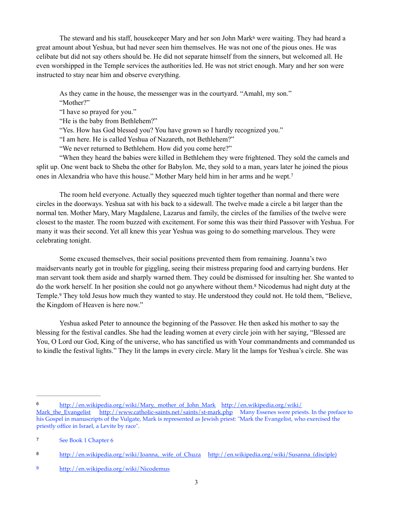The steward and his staff, housekeeper Mary and her son John Mark<sup>[6](#page-2-0)</sup> were waiting. They had heard a great amount about Yeshua, but had never seen him themselves. He was not one of the pious ones. He was celibate but did not say others should be. He did not separate himself from the sinners, but welcomed all. He even worshipped in the Temple services the authorities led. He was not strict enough. Mary and her son were instructed to stay near him and observe everything.

<span id="page-2-4"></span> As they came in the house, the messenger was in the courtyard. "Amahl, my son." "Mother?"

"I have so prayed for you."

"He is the baby from Bethlehem?"

"Yes. How has God blessed you? You have grown so I hardly recognized you."

"I am here. He is called Yeshua of Nazareth, not Bethlehem?"

<span id="page-2-5"></span>"We never returned to Bethlehem. How did you come here?"

 "When they heard the babies were killed in Bethlehem they were frightened. They sold the camels and split up. One went back to Sheba the other for Babylon. Me, they sold to a man, years later he joined the pious ones in Alexandria who have this house." Mother Mary held him in her arms and he wept.<sup>7</sup>

 The room held everyone. Actually they squeezed much tighter together than normal and there were circles in the doorways. Yeshua sat with his back to a sidewall. The twelve made a circle a bit larger than the normal ten. Mother Mary, Mary Magdalene, Lazarus and family, the circles of the families of the twelve were closest to the master. The room buzzed with excitement. For some this was their third Passover with Yeshua. For many it was their second. Yet all knew this year Yeshua was going to do something marvelous. They were celebrating tonight.

<span id="page-2-6"></span> Some excused themselves, their social positions prevented them from remaining. Joanna's two maidservants nearly got in trouble for giggling, seeing their mistress preparing food and carrying burdens. Her man servant took them aside and sharply warned them. They could be dismissed for insulting her. She wanted to do the work herself[.](#page-2-2) In her position she could not go anywhere without them.<sup>[8](#page-2-2)</sup> Nicodemus had night duty at the Temple.<sup>9</sup> They told Jesus how much they wanted to stay[.](#page-2-3) He understood they could not. He told them, "Believe, the Kingdom of Heaven is here now."

<span id="page-2-7"></span> Yeshua asked Peter to announce the beginning of the Passover. He then asked his mother to say the blessing for the festival candles. She had the leading women at every circle join with her saying, "Blessed are You, O Lord our God, King of the universe, who has sanctified us with Your commandments and commanded us to kindle the festival lights." They lit the lamps in every circle. Mary lit the lamps for Yeshua's circle. She was

<span id="page-2-0"></span>[<sup>6</sup>](#page-2-4) [http://en.wikipedia.org/wiki/](http://en.wikipedia.org/wiki/Mark_the_Evangelist)Mary, mother\_of\_John\_Mark http://en.wikipedia.org/wiki/<br>Mark the Evangelist http://www.catholic-saints.net/saints/st-mark.php Many Essenes were pries <http://www.catholic-saints.net/saints/st-mark.php>Many Essenes were priests. In the preface to his Gospel in manuscripts of the Vulgate, Mark is represented as Jewish priest: "Mark the Evangelist, who exercised the priestly office in Israel, a Levite by race".

<span id="page-2-1"></span>[<sup>7</sup>](#page-2-5) See Book 1 Chapter 6

<span id="page-2-2"></span>[<sup>8</sup>](#page-2-6) http://en.wikipedia.org/wiki/Joanna, wife\_of\_Chuza http://en.wikipedia.org/wiki/Susanna (disciple)

<span id="page-2-3"></span><sup>9</sup> <http://en.wikipedia.org/wiki/Nicodemus>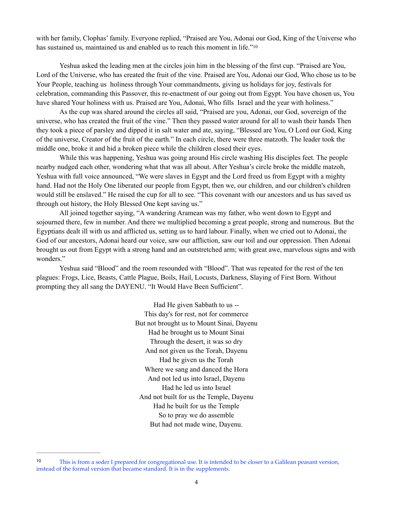<span id="page-3-1"></span>with her family, Clophas' family. Everyone replied, "Praised are You, Adonai our God, King of the Universe who has sustained us, maintained us and enabled us to reach this moment in life."<sup>10</sup>

 Yeshua asked the leading men at the circles join him in the blessing of the first cup. "Praised are You, Lord of the Universe, who has created the fruit of the vine. Praised are You, Adonai our God, Who chose us to be Your People, teaching us holiness through Your commandments, giving us holidays for joy, festivals for celebration, commanding this Passover, this re-enactment of our going out from Egypt. You have chosen us, You have shared Your holiness with us. Praised are You, Adonai, Who fills Israel and the year with holiness."

 As the cup was shared around the circles all said, "Praised are you, Adonai, our God, sovereign of the universe, who has created the fruit of the vine." Then they passed water around for all to wash their hands Then they took a piece of parsley and dipped it in salt water and ate, saying, "Blessed are You, O Lord our God, King of the universe, Creator of the fruit of the earth." In each circle, there were three matzoth. The leader took the middle one, broke it and hid a broken piece while the children closed their eyes.

 While this was happening, Yeshua was going around His circle washing His disciples feet. The people nearby nudged each other, wondering what that was all about. After Yeshua's circle broke the middle matzoh, Yeshua with full voice announced, "We were slaves in Egypt and the Lord freed us from Egypt with a mighty hand. Had not the Holy One liberated our people from Egypt, then we, our children, and our children's children would still be enslaved." He raised the cup for all to see. "This covenant with our ancestors and us has saved us through out history, the Holy Blessed One kept saving us."

 All joined together saying, "A wandering Aramean was my father, who went down to Egypt and sojourned there, few in number. And there we multiplied becoming a great people, strong and numerous. But the Egyptians dealt ill with us and afflicted us, setting us to hard labour. Finally, when we cried out to Adonai, the God of our ancestors, Adonai heard our voice, saw our affliction, saw our toil and our oppression. Then Adonai brought us out from Egypt with a strong hand and an outstretched arm; with great awe, marvelous signs and with wonders."

 Yeshua said "Blood" and the room resounded with "Blood". That was repeated for the rest of the ten plagues: Frogs, Lice, Beasts, Cattle Plague, Boils, Hail, Locusts, Darkness, Slaying of First Born. Without prompting they all sang the DAYENU. "It Would Have Been Sufficient".

> Had He given Sabbath to us -- This day's for rest, not for commerce But not brought us to Mount Sinai, Dayenu Had he brought us to Mount Sinai Through the desert, it was so dry And not given us the Torah, Dayenu Had he given us the Torah Where we sang and danced the Hora And not led us into Israel, Dayenu Had he led us into Israel And not built for us the Temple, Dayenu Had he built for us the Temple So to pray we do assemble But had not made wine, Dayenu.

<span id="page-3-0"></span>This is from a seder I prepared for congregational use. It is intended to be closer to a Galilean peasant version, [10](#page-3-1) instead of the formal version that became standard. It is in the supplements.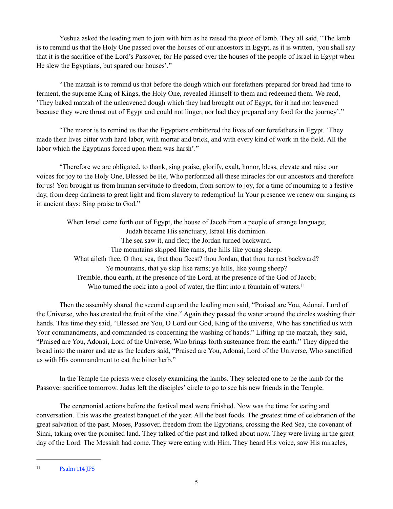Yeshua asked the leading men to join with him as he raised the piece of lamb. They all said, "The lamb is to remind us that the Holy One passed over the houses of our ancestors in Egypt, as it is written, 'you shall say that it is the sacrifice of the Lord's Passover, for He passed over the houses of the people of Israel in Egypt when He slew the Egyptians, but spared our houses'."

 "The matzah is to remind us that before the dough which our forefathers prepared for bread had time to ferment, the supreme King of Kings, the Holy One, revealed Himself to them and redeemed them. We read, 'They baked matzah of the unleavened dough which they had brought out of Egypt, for it had not leavened because they were thrust out of Egypt and could not linger, nor had they prepared any food for the journey'."

 "The maror is to remind us that the Egyptians embittered the lives of our forefathers in Egypt. 'They made their lives bitter with hard labor, with mortar and brick, and with every kind of work in the field. All the labor which the Egyptians forced upon them was harsh'."

 "Therefore we are obligated, to thank, sing praise, glorify, exalt, honor, bless, elevate and raise our voices for joy to the Holy One, Blessed be He, Who performed all these miracles for our ancestors and therefore for us! You brought us from human servitude to freedom, from sorrow to joy, for a time of mourning to a festive day, from deep darkness to great light and from slavery to redemption! In Your presence we renew our singing as in ancient days: Sing praise to God."

<span id="page-4-1"></span>When Israel came forth out of Egypt, the house of Jacob from a people of strange language; Judah became His sanctuary, Israel His dominion. The sea saw it, and fled; the Jordan turned backward. The mountains skipped like rams, the hills like young sheep. What aileth thee, O thou sea, that thou fleest? thou Jordan, that thou turnest backward? Ye mountains, that ye skip like rams; ye hills, like young sheep? Tremble, thou earth, at the presence of the Lord, at the presence of the God of Jacob; Who turned the rock into a pool of water, the flint into a fountain of waters.<sup>[11](#page-4-0)</sup>

 Then the assembly shared the second cup and the leading men said, "Praised are You, Adonai, Lord of the Universe, who has created the fruit of the vine." Again they passed the water around the circles washing their hands. This time they said, "Blessed are You, O Lord our God, King of the universe, Who has sanctified us with Your commandments, and commanded us concerning the washing of hands." Lifting up the matzah, they said, "Praised are You, Adonai, Lord of the Universe, Who brings forth sustenance from the earth." They dipped the bread into the maror and ate as the leaders said, "Praised are You, Adonai, Lord of the Universe, Who sanctified us with His commandment to eat the bitter herb."

 In the Temple the priests were closely examining the lambs. They selected one to be the lamb for the Passover sacrifice tomorrow. Judas left the disciples' circle to go to see his new friends in the Temple.

 The ceremonial actions before the festival meal were finished. Now was the time for eating and conversation. This was the greatest banquet of the year. All the best foods. The greatest time of celebration of the great salvation of the past. Moses, Passover, freedom from the Egyptians, crossing the Red Sea, the covenant of Sinai, taking over the promised land. They talked of the past and talked about now. They were living in the great day of the Lord. The Messiah had come. They were eating with Him. They heard His voice, saw His miracles,

<span id="page-4-0"></span> $P_{\text{salm}}$  [11](#page-4-1)4 JPS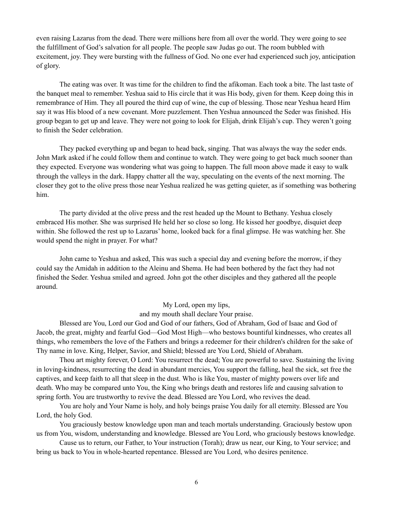even raising Lazarus from the dead. There were millions here from all over the world. They were going to see the fulfillment of God's salvation for all people. The people saw Judas go out. The room bubbled with excitement, joy. They were bursting with the fullness of God. No one ever had experienced such joy, anticipation of glory.

 The eating was over. It was time for the children to find the afikoman. Each took a bite. The last taste of the banquet meal to remember. Yeshua said to His circle that it was His body, given for them. Keep doing this in remembrance of Him. They all poured the third cup of wine, the cup of blessing. Those near Yeshua heard Him say it was His blood of a new covenant. More puzzlement. Then Yeshua announced the Seder was finished. His group began to get up and leave. They were not going to look for Elijah, drink Elijah's cup. They weren't going to finish the Seder celebration.

 They packed everything up and began to head back, singing. That was always the way the seder ends. John Mark asked if he could follow them and continue to watch. They were going to get back much sooner than they expected. Everyone was wondering what was going to happen. The full moon above made it easy to walk through the valleys in the dark. Happy chatter all the way, speculating on the events of the next morning. The closer they got to the olive press those near Yeshua realized he was getting quieter, as if something was bothering him.

 The party divided at the olive press and the rest headed up the Mount to Bethany. Yeshua closely embraced His mother. She was surprised He held her so close so long. He kissed her goodbye, disquiet deep within. She followed the rest up to Lazarus' home, looked back for a final glimpse. He was watching her. She would spend the night in prayer. For what?

 John came to Yeshua and asked, This was such a special day and evening before the morrow, if they could say the Amidah in addition to the Aleinu and Shema. He had been bothered by the fact they had not finished the Seder. Yeshua smiled and agreed. John got the other disciples and they gathered all the people around.

My Lord, open my lips,

and my mouth shall declare Your praise.

 Blessed are You, Lord our God and God of our fathers, God of Abraham, God of Isaac and God of Jacob, the great, mighty and fearful God—God Most High—who bestows bountiful kindnesses, who creates all things, who remembers the love of the Fathers and brings a redeemer for their children's children for the sake of Thy name in love. King, Helper, Savior, and Shield; blessed are You Lord, Shield of Abraham.

 Thou art mighty forever, O Lord: You resurrect the dead; You are powerful to save. Sustaining the living in loving-kindness, resurrecting the dead in abundant mercies, You support the falling, heal the sick, set free the captives, and keep faith to all that sleep in the dust. Who is like You, master of mighty powers over life and death. Who may be compared unto You, the King who brings death and restores life and causing salvation to spring forth. You are trustworthy to revive the dead. Blessed are You Lord, who revives the dead.

 You are holy and Your Name is holy, and holy beings praise You daily for all eternity. Blessed are You Lord, the holy God.

 You graciously bestow knowledge upon man and teach mortals understanding. Graciously bestow upon us from You, wisdom, understanding and knowledge. Blessed are You Lord, who graciously bestows knowledge.

 Cause us to return, our Father, to Your instruction (Torah); draw us near, our King, to Your service; and bring us back to You in whole-hearted repentance. Blessed are You Lord, who desires penitence.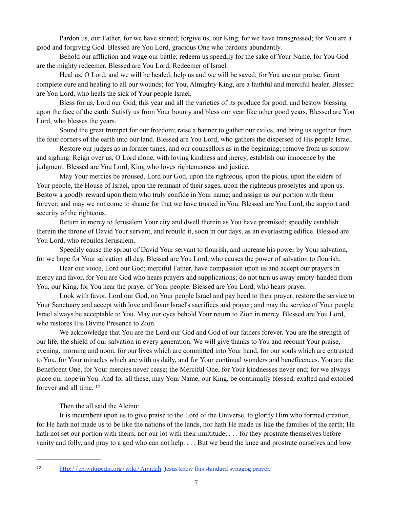Pardon us, our Father, for we have sinned; forgive us, our King, for we have transgressed; for You are a good and forgiving God. Blessed are You Lord, gracious One who pardons abundantly.

 Behold our affliction and wage our battle; redeem us speedily for the sake of Your Name, for You God are the mighty redeemer. Blessed are You Lord, Redeemer of Israel.

 Heal us, O Lord, and we will be healed; help us and we will be saved; for You are our praise. Grant complete cure and healing to all our wounds; for You, Almighty King, are a faithful and merciful healer. Blessed are You Lord, who heals the sick of Your people Israel.

 Bless for us, Lord our God, this year and all the varieties of its produce for good; and bestow blessing upon the face of the earth. Satisfy us from Your bounty and bless our year like other good years, Blessed are You Lord, who blesses the years.

 Sound the great trumpet for our freedom; raise a banner to gather our exiles, and bring us together from the four corners of the earth into our land. Blessed are You Lord, who gathers the dispersed of His people Israel.

 Restore our judges as in former times, and our counsellors as in the beginning; remove from us sorrow and sighing. Reign over us, O Lord alone, with loving kindness and mercy, establish our innocence by the judgment. Blessed are You Lord, King who loves righteousness and justice.

 May Your mercies be aroused, Lord our God, upon the righteous, upon the pious, upon the elders of Your people, the House of Israel, upon the remnant of their sages, upon the righteous proselytes and upon us. Bestow a goodly reward upon them who truly confide in Your name; and assign us our portion with them forever; and may we not come to shame for that we have trusted in You. Blessed are You Lord, the support and security of the righteous.

 Return in mercy to Jerusalem Your city and dwell therein as You have promised; speedily establish therein the throne of David Your servant, and rebuild it, soon in our days, as an everlasting edifice. Blessed are You Lord, who rebuilds Jerusalem.

 Speedily cause the sprout of David Your servant to flourish, and increase his power by Your salvation, for we hope for Your salvation all day. Blessed are You Lord, who causes the power of salvation to flourish.

 Hear our voice, Lord our God; merciful Father, have compassion upon us and accept our prayers in mercy and favor, for You are God who hears prayers and supplications; do not turn us away empty-handed from You, our King, for You hear the prayer of Your people. Blessed are You Lord, who hears prayer.

 Look with favor, Lord our God, on Your people Israel and pay heed to their prayer; restore the service to Your Sanctuary and accept with love and favor Israel's sacrifices and prayer; and may the service of Your people Israel always be acceptable to You. May our eyes behold Your return to Zion in mercy. Blessed are You Lord, who restores His Divine Presence to Zion.

 We acknowledge that You are the Lord our God and God of our fathers forever. You are the strength of our life, the shield of our salvation in every generation. We will give thanks to You and recount Your praise, evening, morning and noon, for our lives which are committed into Your hand, for our souls which are entrusted to You, for Your miracles which are with us daily, and for Your continual wonders and beneficences. You are the Beneficent One, for Your mercies never cease; the Merciful One, for Your kindnesses never end; for we always place our hope in You. And for all these, may Your Name, our King, be continually blessed, exalted and extolled forever and all time. [12](#page-6-0)

<span id="page-6-1"></span>Then the all said the Aleinu:

 It is incumbent upon us to give praise to the Lord of the Universe, to glorify Him who formed creation, for He hath not made us to be like the nations of the lands, nor hath He made us like the families of the earth; He hath not set our portion with theirs, nor our lot with their multitude; ... for they prostrate themselves before vanity and folly, and pray to a god who can not help. . . . But we bend the knee and prostrate ourselves and bow

<span id="page-6-0"></span><http://en.wikipedia.org/wiki/Amidah> Jesus knew this standard synagog prayer.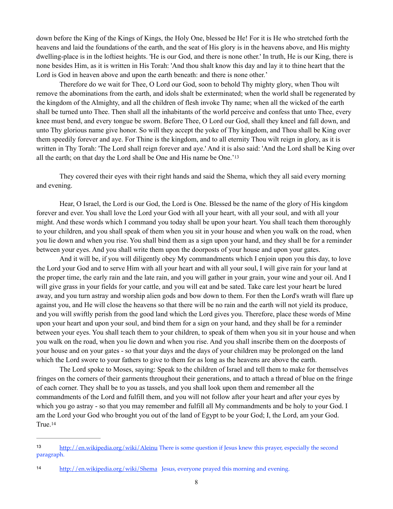down before the King of the Kings of Kings, the Holy One, blessed be He! For it is He who stretched forth the heavens and laid the foundations of the earth, and the seat of His glory is in the heavens above, and His mighty dwelling-place is in the loftiest heights. 'He is our God, and there is none other.' In truth, He is our King, there is none besides Him, as it is written in His Torah: 'And thou shalt know this day and lay it to thine heart that the Lord is God in heaven above and upon the earth beneath: and there is none other.'

 Therefore do we wait for Thee, O Lord our God, soon to behold Thy mighty glory, when Thou wilt remove the abominations from the earth, and idols shalt be exterminated; when the world shall be regenerated by the kingdom of the Almighty, and all the children of flesh invoke Thy name; when all the wicked of the earth shall be turned unto Thee. Then shall all the inhabitants of the world perceive and confess that unto Thee, every knee must bend, and every tongue be sworn. Before Thee, O Lord our God, shall they kneel and fall down, and unto Thy glorious name give honor. So will they accept the yoke of Thy kingdom, and Thou shall be King over them speedily forever and aye. For Thine is the kingdom, and to all eternity Thou wilt reign in glory, as it is written in Thy Torah: 'The Lord shall reign forever and aye.' And it is also said: 'And the Lord shall be King over all the earth; on that day the Lord shall be One and His name be One.['13](#page-7-0)

<span id="page-7-2"></span> They covered their eyes with their right hands and said the Shema, which they all said every morning and evening.

 Hear, O Israel, the Lord is our God, the Lord is One. Blessed be the name of the glory of His kingdom forever and ever. You shall love the Lord your God with all your heart, with all your soul, and with all your might. And these words which I command you today shall be upon your heart. You shall teach them thoroughly to your children, and you shall speak of them when you sit in your house and when you walk on the road, when you lie down and when you rise. You shall bind them as a sign upon your hand, and they shall be for a reminder between your eyes. And you shall write them upon the doorposts of your house and upon your gates.

 And it will be, if you will diligently obey My commandments which I enjoin upon you this day, to love the Lord your God and to serve Him with all your heart and with all your soul, I will give rain for your land at the proper time, the early rain and the late rain, and you will gather in your grain, your wine and your oil. And I will give grass in your fields for your cattle, and you will eat and be sated. Take care lest your heart be lured away, and you turn astray and worship alien gods and bow down to them. For then the Lord's wrath will flare up against you, and He will close the heavens so that there will be no rain and the earth will not yield its produce, and you will swiftly perish from the good land which the Lord gives you. Therefore, place these words of Mine upon your heart and upon your soul, and bind them for a sign on your hand, and they shall be for a reminder between your eyes. You shall teach them to your children, to speak of them when you sit in your house and when you walk on the road, when you lie down and when you rise. And you shall inscribe them on the doorposts of your house and on your gates - so that your days and the days of your children may be prolonged on the land which the Lord swore to your fathers to give to them for as long as the heavens are above the earth.

 The Lord spoke to Moses, saying: Speak to the children of Israel and tell them to make for themselves fringes on the corners of their garments throughout their generations, and to attach a thread of blue on the fringe of each corner. They shall be to you as tassels, and you shall look upon them and remember all the commandments of the Lord and fulfill them, and you will not follow after your heart and after your eyes by which you go astray - so that you may remember and fulfill all My commandments and be holy to your God. I am the Lord your God who brought you out of the land of Egypt to be your God; I, the Lord, am your God. True. [14](#page-7-1)

<span id="page-7-3"></span><span id="page-7-0"></span><http://en.wikipedia.org/wiki/Aleinu>There is some question if Jesus knew this prayer, especially the second paragraph.

<span id="page-7-1"></span><http://en.wikipedia.org/wiki/Shema> Jesus, everyone prayed this morning and evening. [14](#page-7-3)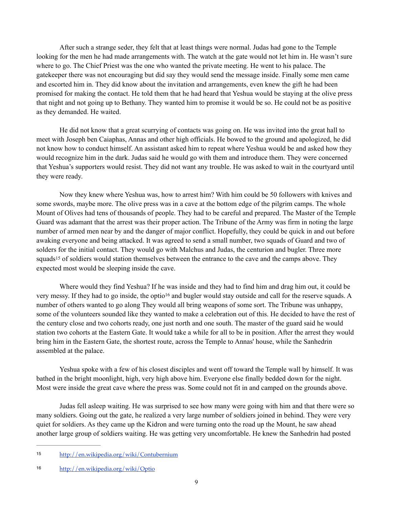After such a strange seder, they felt that at least things were normal. Judas had gone to the Temple looking for the men he had made arrangements with. The watch at the gate would not let him in. He wasn't sure where to go. The Chief Priest was the one who wanted the private meeting. He went to his palace. The gatekeeper there was not encouraging but did say they would send the message inside. Finally some men came and escorted him in. They did know about the invitation and arrangements, even knew the gift he had been promised for making the contact. He told them that he had heard that Yeshua would be staying at the olive press that night and not going up to Bethany. They wanted him to promise it would be so. He could not be as positive as they demanded. He waited.

 He did not know that a great scurrying of contacts was going on. He was invited into the great hall to meet with Joseph ben Caiaphas, Annas and other high officials. He bowed to the ground and apologized, he did not know how to conduct himself. An assistant asked him to repeat where Yeshua would be and asked how they would recognize him in the dark. Judas said he would go with them and introduce them. They were concerned that Yeshua's supporters would resist. They did not want any trouble. He was asked to wait in the courtyard until they were ready.

 Now they knew where Yeshua was, how to arrest him? With him could be 50 followers with knives and some swords, maybe more. The olive press was in a cave at the bottom edge of the pilgrim camps. The whole Mount of Olives had tens of thousands of people. They had to be careful and prepared. The Master of the Temple Guard was adamant that the arrest was their proper action. The Tribune of the Army was firm in noting the large number of armed men near by and the danger of major conflict. Hopefully, they could be quick in and out before awaking everyone and being attacked. It was agreed to send a small number, two squads of Guard and two of solders for the initial contact. They would go with Malchus and Judas, the centurion and bugler. Three more squads<sup>15</sup>of soldiers would station themselves between the entrance to the cave and the camps above. They expected most would be sleeping inside the cave.

<span id="page-8-3"></span><span id="page-8-2"></span> Where would they find Yeshua? If he was inside and they had to find him and drag him out, it could be very messy. If they had t[o](#page-8-1) go inside, the optio<sup>[16](#page-8-1)</sup> and bugler would stay outside and call for the reserve squads. A number of others wanted to go along They would all bring weapons of some sort. The Tribune was unhappy, some of the volunteers sounded like they wanted to make a celebration out of this. He decided to have the rest of the century close and two cohorts ready, one just north and one south. The master of the guard said he would station two cohorts at the Eastern Gate. It would take a while for all to be in position. After the arrest they would bring him in the Eastern Gate, the shortest route, across the Temple to Annas' house, while the Sanhedrin assembled at the palace.

 Yeshua spoke with a few of his closest disciples and went off toward the Temple wall by himself. It was bathed in the bright moonlight, high, very high above him. Everyone else finally bedded down for the night. Most were inside the great cave where the press was. Some could not fit in and camped on the grounds above.

 Judas fell asleep waiting. He was surprised to see how many were going with him and that there were so many soldiers. Going out the gate, he realized a very large number of soldiers joined in behind. They were very quiet for soldiers. As they came up the Kidron and were turning onto the road up the Mount, he saw ahead another large group of soldiers waiting. He was getting very uncomfortable. He knew the Sanhedrin had posted

<span id="page-8-0"></span><http://en.wikipedia.org/wiki/Contubernium> [15](#page-8-2)

<span id="page-8-1"></span><sup>16</sup> <http://en.wikipedia.org/wiki/Optio>